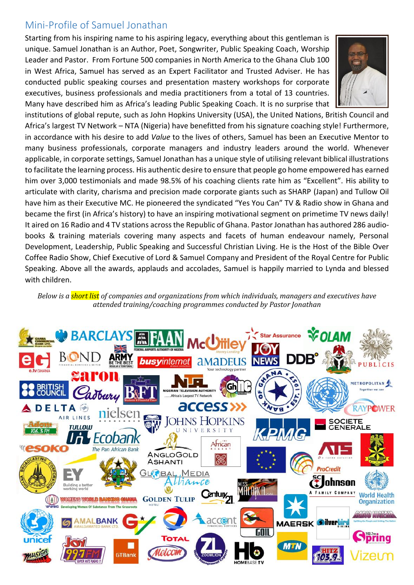## Mini-Profile of Samuel Jonathan

Starting from his inspiring name to his aspiring legacy, everything about this gentleman is unique. Samuel Jonathan is an Author, Poet, Songwriter, Public Speaking Coach, Worship Leader and Pastor. From Fortune 500 companies in North America to the Ghana Club 100 in West Africa, Samuel has served as an Expert Facilitator and Trusted Adviser. He has conducted public speaking courses and presentation mastery workshops for corporate executives, business professionals and media practitioners from a total of 13 countries. Many have described him as Africa's leading Public Speaking Coach. It is no surprise that



institutions of global repute, such as John Hopkins University (USA), the United Nations, British Council and Africa's largest TV Network – NTA (Nigeria) have benefitted from his signature coaching style! Furthermore, in accordance with his desire to add *Value* to the lives of others, Samuel has been an Executive Mentor to many business professionals, corporate managers and industry leaders around the world. Whenever applicable, in corporate settings, Samuel Jonathan has a unique style of utilising relevant biblical illustrations to facilitate the learning process. His authentic desire to ensure that people go home empowered has earned him over 3,000 testimonials and made 98.5% of his coaching clients rate him as "Excellent". His ability to articulate with clarity, charisma and precision made corporate giants such as SHARP (Japan) and Tullow Oil have him as their Executive MC. He pioneered the syndicated "Yes You Can" TV & Radio show in Ghana and became the first (in Africa's history) to have an inspiring motivational segment on primetime TV news daily! It aired on 16 Radio and 4 TV stations across the Republic of Ghana. Pastor Jonathan has authored 286 audiobooks & training materials covering many aspects and facets of human endeavour namely, Personal Development, Leadership, Public Speaking and Successful Christian Living. He is the Host of the Bible Over Coffee Radio Show, Chief Executive of Lord & Samuel Company and President of the Royal Centre for Public Speaking. Above all the awards, applauds and accolades, Samuel is happily married to Lynda and blessed with children.

*Below is a short list of companies and organizations from which individuals, managers and executives have attended training/coaching programmes conducted by Pastor Jonathan* 

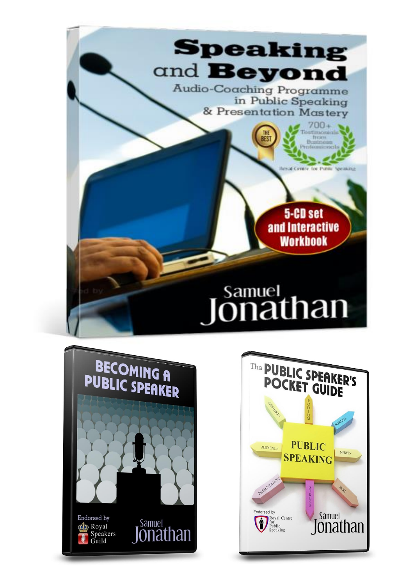